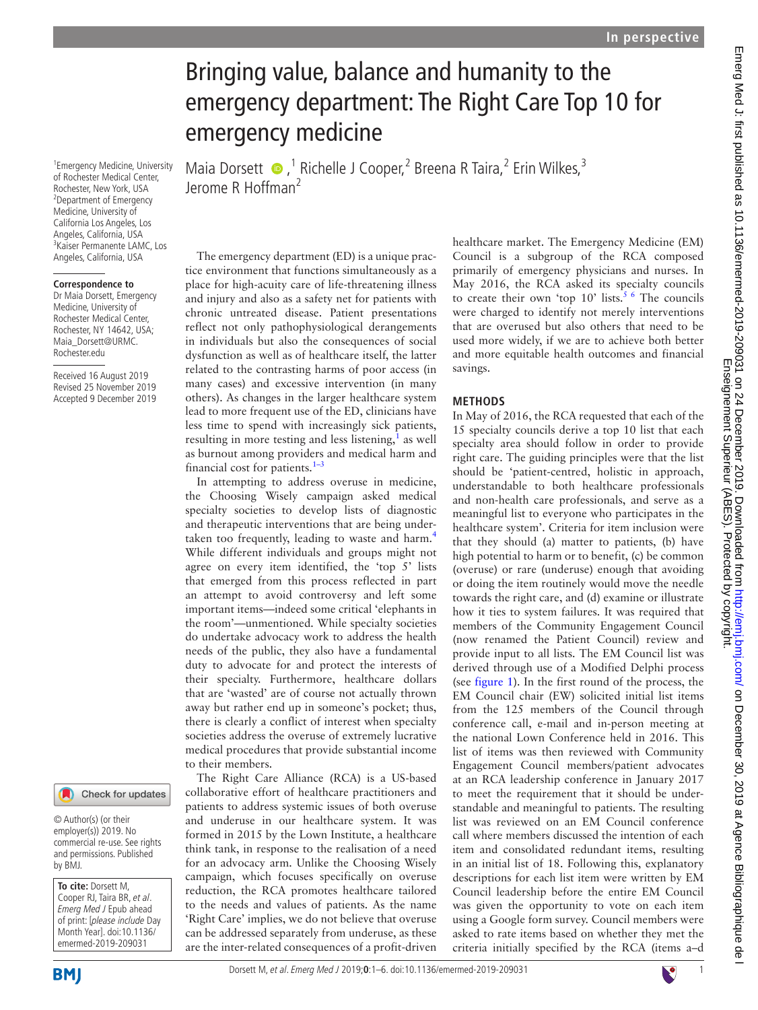# Bringing value, balance and humanity to the emergency department: The Right Care Top 10 for emergency medicine

Maia Dorsett  $\bullet$ ,<sup>1</sup> Richelle J Cooper,<sup>2</sup> Breena R Taira,<sup>2</sup> Erin Wilkes,<sup>3</sup> Jerome R Hoffman<sup>2</sup>

1 Emergency Medicine, University of Rochester Medical Center, Rochester, New York, USA 2 Department of Emergency Medicine, University of California Los Angeles, Los Angeles, California, USA 3 Kaiser Permanente LAMC, Los Angeles, California, USA

#### **Correspondence to**

Dr Maia Dorsett, Emergency Medicine, University of Rochester Medical Center, Rochester, NY 14642, USA; Maia\_Dorsett@URMC. Rochester.edu

Received 16 August 2019 Revised 25 November 2019 Accepted 9 December 2019



© Author(s) (or their employer(s)) 2019. No commercial re-use. See rights and permissions. Published by BMJ.

**To cite:** Dorsett M, Cooper RJ, Taira BR, et al. Emerg Med J Epub ahead of print: [please include Day Month Year]. doi:10.1136/ emermed-2019-209031

The emergency department (ED) is a unique practice environment that functions simultaneously as a place for high-acuity care of life-threatening illness and injury and also as a safety net for patients with chronic untreated disease. Patient presentations reflect not only pathophysiological derangements in individuals but also the consequences of social dysfunction as well as of healthcare itself, the latter related to the contrasting harms of poor access (in many cases) and excessive intervention (in many others). As changes in the larger healthcare system lead to more frequent use of the ED, clinicians have less time to spend with increasingly sick patients, resulting in more testing and less listening,<sup>[1](#page-4-0)</sup> as well as burnout among providers and medical harm and financial cost for patients. $1-3$ 

In attempting to address overuse in medicine, the Choosing Wisely campaign asked medical specialty societies to develop lists of diagnostic and therapeutic interventions that are being under-taken too frequently, leading to waste and harm.<sup>[4](#page-4-1)</sup> While different individuals and groups might not agree on every item identified, the 'top 5' lists that emerged from this process reflected in part an attempt to avoid controversy and left some important items—indeed some critical 'elephants in the room'—unmentioned. While specialty societies do undertake advocacy work to address the health needs of the public, they also have a fundamental duty to advocate for and protect the interests of their specialty. Furthermore, healthcare dollars that are 'wasted' are of course not actually thrown away but rather end up in someone's pocket; thus, there is clearly a conflict of interest when specialty societies address the overuse of extremely lucrative medical procedures that provide substantial income to their members.

The Right Care Alliance (RCA) is a US-based collaborative effort of healthcare practitioners and patients to address systemic issues of both overuse and underuse in our healthcare system. It was formed in 2015 by the Lown Institute, a healthcare think tank, in response to the realisation of a need for an advocacy arm. Unlike the Choosing Wisely campaign, which focuses specifically on overuse reduction, the RCA promotes healthcare tailored to the needs and values of patients. As the name 'Right Care' implies, we do not believe that overuse can be addressed separately from underuse, as these are the inter-related consequences of a profit-driven

healthcare market. The Emergency Medicine (EM) Council is a subgroup of the RCA composed primarily of emergency physicians and nurses. In May 2016, the RCA asked its specialty councils to create their own 'top  $10'$  lists.<sup>[5 6](#page-4-2)</sup> The councils were charged to identify not merely interventions that are overused but also others that need to be used more widely, if we are to achieve both better and more equitable health outcomes and financial savings.

## **Methods**

In May of 2016, the RCA requested that each of the 15 specialty councils derive a top 10 list that each specialty area should follow in order to provide right care. The guiding principles were that the list should be 'patient-centred, holistic in approach, understandable to both healthcare professionals and non-health care professionals, and serve as a meaningful list to everyone who participates in the healthcare system'. Criteria for item inclusion were that they should (a) matter to patients, (b) have high potential to harm or to benefit, (c) be common (overuse) or rare (underuse) enough that avoiding or doing the item routinely would move the needle towards the right care, and (d) examine or illustrate how it ties to system failures. It was required that members of the Community Engagement Council (now renamed the Patient Council) review and provide input to all lists. The EM Council list was derived through use of a Modified Delphi process (see [figure](#page-1-0) 1). In the first round of the process, the EM Council chair (EW) solicited initial list items from the 125 members of the Council through conference call, e-mail and in-person meeting at the national Lown Conference held in 2016. This list of items was then reviewed with Community Engagement Council members/patient advocates at an RCA leadership conference in January 2017 to meet the requirement that it should be understandable and meaningful to patients. The resulting list was reviewed on an EM Council conference call where members discussed the intention of each item and consolidated redundant items, resulting in an initial list of 18. Following this, explanatory descriptions for each list item were written by EM Council leadership before the entire EM Council was given the opportunity to vote on each item using a Google form survey. Council members were asked to rate items based on whether they met the criteria initially specified by the RCA (items a–d

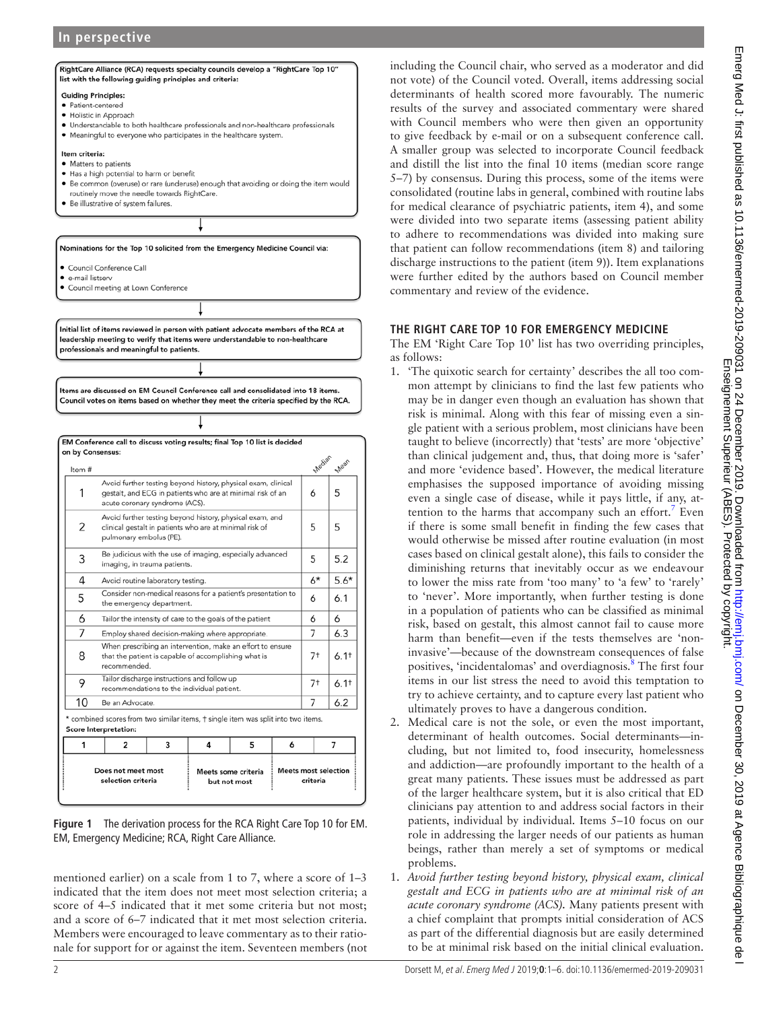# **In perspective**



<span id="page-1-0"></span>**Figure 1** The derivation process for the RCA Right Care Top 10 for EM. EM, Emergency Medicine; RCA, Right Care Alliance.

that the patient is capable of accomplishing what is

\* combined scores from two similar items, † single item was split into two items

 $\overline{4}$ 

Meets some criteria

but not most

5

Tailor discharge instructions and follow up

recommendations to the individual patient

 $\overline{3}$ 

 $7<sup>†</sup>$ 

 $7<sup>†</sup>$ 

7

Meets most selection

criteria

6

 $6.1<sup>†</sup>$ 

 $6.11$ 

 $6.2$ 

 $\overline{z}$ 

mentioned earlier) on a scale from 1 to 7, where a score of 1–3 indicated that the item does not meet most selection criteria; a score of 4–5 indicated that it met some criteria but not most; and a score of 6–7 indicated that it met most selection criteria. Members were encouraged to leave commentary as to their rationale for support for or against the item. Seventeen members (not

including the Council chair, who served as a moderator and did not vote) of the Council voted. Overall, items addressing social determinants of health scored more favourably. The numeric results of the survey and associated commentary were shared with Council members who were then given an opportunity to give feedback by e-mail or on a subsequent conference call. A smaller group was selected to incorporate Council feedback and distill the list into the final 10 items (median score range 5–7) by consensus. During this process, some of the items were consolidated (routine labs in general, combined with routine labs for medical clearance of psychiatric patients, item 4), and some were divided into two separate items (assessing patient ability to adhere to recommendations was divided into making sure that patient can follow recommendations (item 8) and tailoring discharge instructions to the patient (item 9)). Item explanations were further edited by the authors based on Council member commentary and review of the evidence.

## **The Right Care Top 10 for emergency medicine**

The EM 'Right Care Top 10' list has two overriding principles, as follows:

- 1. 'The quixotic search for certainty' describes the all too common attempt by clinicians to find the last few patients who may be in danger even though an evaluation has shown that risk is minimal. Along with this fear of missing even a single patient with a serious problem, most clinicians have been taught to believe (incorrectly) that 'tests' are more 'objective' than clinical judgement and, thus, that doing more is 'safer' and more 'evidence based'. However, the medical literature emphasises the supposed importance of avoiding missing even a single case of disease, while it pays little, if any, at-tention to the harms that accompany such an effort.<sup>[7](#page-4-3)</sup> Even if there is some small benefit in finding the few cases that would otherwise be missed after routine evaluation (in most cases based on clinical gestalt alone), this fails to consider the diminishing returns that inevitably occur as we endeavour to lower the miss rate from 'too many' to 'a few' to 'rarely' to 'never'. More importantly, when further testing is done in a population of patients who can be classified as minimal risk, based on gestalt, this almost cannot fail to cause more harm than benefit—even if the tests themselves are 'noninvasive'—because of the downstream consequences of false positives, 'incidentalomas' and overdiagnosis.<sup>[8](#page-4-4)</sup> The first four items in our list stress the need to avoid this temptation to try to achieve certainty, and to capture every last patient who ultimately proves to have a dangerous condition.
- 2. Medical care is not the sole, or even the most important, determinant of health outcomes. Social determinants—including, but not limited to, food insecurity, homelessness and addiction—are profoundly important to the health of a great many patients. These issues must be addressed as part of the larger healthcare system, but it is also critical that ED clinicians pay attention to and address social factors in their patients, individual by individual. Items 5–10 focus on our role in addressing the larger needs of our patients as human beings, rather than merely a set of symptoms or medical problems.
- 1. *Avoid further testing beyond history, physical exam, clinical gestalt and ECG in patients who are at minimal risk of an acute coronary syndrome (ACS).* Many patients present with a chief complaint that prompts initial consideration of ACS as part of the differential diagnosis but are easily determined to be at minimal risk based on the initial clinical evaluation.

8

9

10

1

Score Interpretation:

recommended.

Be an Advocate.

 $\overline{2}$ 

Does not meet most

selection criteria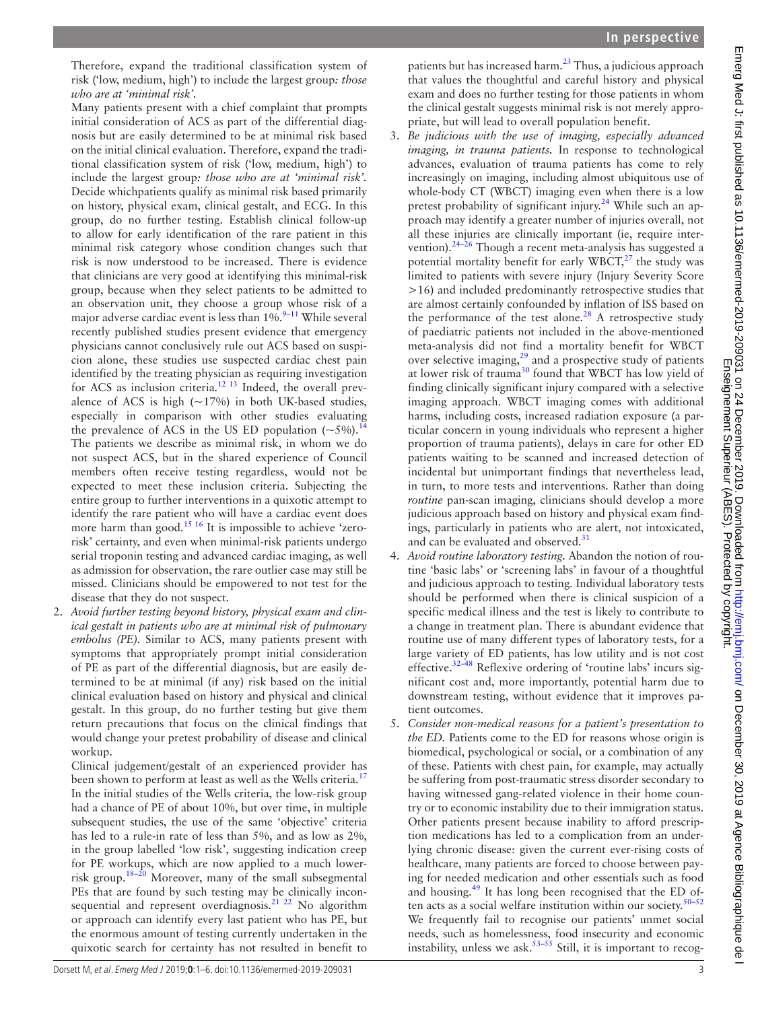Therefore, expand the traditional classification system of risk ('low, medium, high') to include the largest group*: those who are at 'minimal risk'.*

Many patients present with a chief complaint that prompts initial consideration of ACS as part of the differential diagnosis but are easily determined to be at minimal risk based on the initial clinical evaluation. Therefore, expand the traditional classification system of risk ('low, medium, high') to include the largest group*: those who are at 'minimal risk'.* Decide whichpatients qualify as minimal risk based primarily on history, physical exam, clinical gestalt, and ECG. In this group, do no further testing. Establish clinical follow-up to allow for early identification of the rare patient in this minimal risk category whose condition changes such that risk is now understood to be increased. There is evidence that clinicians are very good at identifying this minimal-risk group, because when they select patients to be admitted to an observation unit, they choose a group whose risk of a major adverse cardiac event is less than 1%.<sup>9–11</sup> While several recently published studies present evidence that emergency physicians cannot conclusively rule out ACS based on suspicion alone, these studies use suspected cardiac chest pain identified by the treating physician as requiring investigation for ACS as inclusion criteria.<sup>12 13</sup> Indeed, the overall prevalence of ACS is high  $(-17%)$  in both UK-based studies, especially in comparison with other studies evaluating the prevalence of ACS in the US ED population  $(\sim 5\%)$ . The patients we describe as minimal risk, in whom we do not suspect ACS, but in the shared experience of Council members often receive testing regardless, would not be expected to meet these inclusion criteria. Subjecting the entire group to further interventions in a quixotic attempt to identify the rare patient who will have a cardiac event does more harm than good.<sup>15 16</sup> It is impossible to achieve 'zerorisk' certainty, and even when minimal-risk patients undergo serial troponin testing and advanced cardiac imaging, as well as admission for observation, the rare outlier case may still be missed. Clinicians should be empowered to not test for the disease that they do not suspect.

2. *Avoid further testing beyond history, physical exam and clinical gestalt in patients who are at minimal risk of pulmonary embolus (PE).* Similar to ACS, many patients present with symptoms that appropriately prompt initial consideration of PE as part of the differential diagnosis, but are easily determined to be at minimal (if any) risk based on the initial clinical evaluation based on history and physical and clinical gestalt. In this group, do no further testing but give them return precautions that focus on the clinical findings that would change your pretest probability of disease and clinical workup.

Clinical judgement/gestalt of an experienced provider has been shown to perform at least as well as the Wells criteria.<sup>1</sup> In the initial studies of the Wells criteria, the low-risk group had a chance of PE of about 10%, but over time, in multiple subsequent studies, the use of the same 'objective' criteria has led to a rule-in rate of less than 5%, and as low as 2%, in the group labelled 'low risk', suggesting indication creep for PE workups, which are now applied to a much lowerrisk group.[18–20](#page-4-10) Moreover, many of the small subsegmental PEs that are found by such testing may be clinically inconsequential and represent overdiagnosis.<sup>21</sup> <sup>22</sup> No algorithm or approach can identify every last patient who has PE, but the enormous amount of testing currently undertaken in the quixotic search for certainty has not resulted in benefit to

patients but has increased harm. $^{23}$  Thus, a judicious approach that values the thoughtful and careful history and physical exam and does no further testing for those patients in whom the clinical gestalt suggests minimal risk is not merely appropriate, but will lead to overall population benefit.

- 3. *Be judicious with the use of imaging, especially advanced imaging, in trauma patients.* In response to technological advances, evaluation of trauma patients has come to rely increasingly on imaging, including almost ubiquitous use of whole-body CT (WBCT) imaging even when there is a low pretest probability of significant injury.<sup>[24](#page-4-13)</sup> While such an approach may identify a greater number of injuries overall, not all these injuries are clinically important (ie, require intervention).[24–26](#page-4-13) Though a recent meta-analysis has suggested a potential mortality benefit for early  $WBCT<sub>z</sub><sup>27</sup>$  $WBCT<sub>z</sub><sup>27</sup>$  $WBCT<sub>z</sub><sup>27</sup>$  the study was limited to patients with severe injury (Injury Severity Score >16) and included predominantly retrospective studies that are almost certainly confounded by inflation of ISS based on the performance of the test alone. $28$  A retrospective study of paediatric patients not included in the above-mentioned meta-analysis did not find a mortality benefit for WBCT over selective imaging, $2^9$  and a prospective study of patients at lower risk of trauma[30](#page-4-17) found that WBCT has low yield of finding clinically significant injury compared with a selective imaging approach. WBCT imaging comes with additional harms, including costs, increased radiation exposure (a particular concern in young individuals who represent a higher proportion of trauma patients), delays in care for other ED patients waiting to be scanned and increased detection of incidental but unimportant findings that nevertheless lead, in turn, to more tests and interventions. Rather than doing *routine* pan-scan imaging, clinicians should develop a more judicious approach based on history and physical exam findings, particularly in patients who are alert, not intoxicated, and can be evaluated and observed.<sup>31</sup>
- 4. *Avoid routine laboratory testing.* Abandon the notion of routine 'basic labs' or 'screening labs' in favour of a thoughtful and judicious approach to testing. Individual laboratory tests should be performed when there is clinical suspicion of a specific medical illness and the test is likely to contribute to a change in treatment plan. There is abundant evidence that routine use of many different types of laboratory tests, for a large variety of ED patients, has low utility and is not cost effective.<sup>32–48</sup> Reflexive ordering of 'routine labs' incurs significant cost and, more importantly, potential harm due to downstream testing, without evidence that it improves patient outcomes.
- 5. *Consider non-medical reasons for a patient's presentation to the ED.* Patients come to the ED for reasons whose origin is biomedical, psychological or social, or a combination of any of these. Patients with chest pain, for example, may actually be suffering from post-traumatic stress disorder secondary to having witnessed gang-related violence in their home country or to economic instability due to their immigration status. Other patients present because inability to afford prescription medications has led to a complication from an underlying chronic disease: given the current ever-rising costs of healthcare, many patients are forced to choose between paying for needed medication and other essentials such as food and housing.<sup>49</sup> It has long been recognised that the ED often acts as a social welfare institution within our society.<sup>50-52</sup> We frequently fail to recognise our patients' unmet social needs, such as homelessness, food insecurity and economic instability, unless we ask.<sup>53–55</sup> Still, it is important to recog-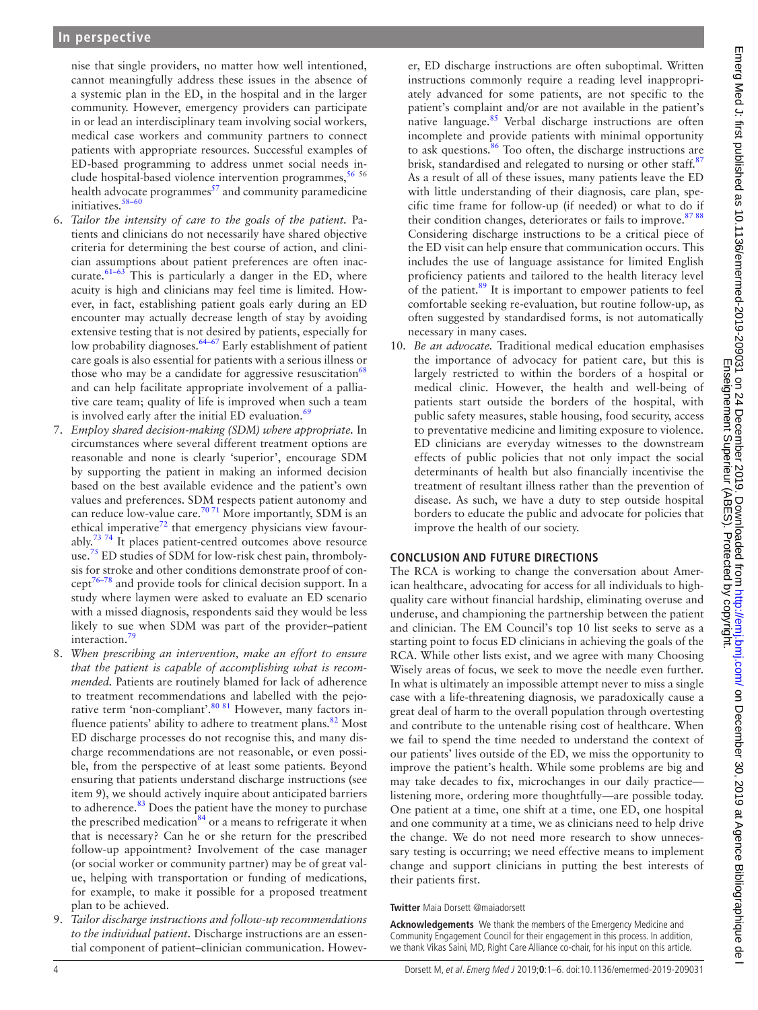nise that single providers, no matter how well intentioned, cannot meaningfully address these issues in the absence of a systemic plan in the ED, in the hospital and in the larger community. However, emergency providers can participate in or lead an interdisciplinary team involving social workers, medical case workers and community partners to connect patients with appropriate resources. Successful examples of ED-based programming to address unmet social needs include hospital-based violence intervention programmes,  $5656$  $5656$ health advocate programmes $<sup>57</sup>$  and community paramedicine</sup> initiatives. $58-60$ 

- 6. *Tailor the intensity of care to the goals of the patient.* Patients and clinicians do not necessarily have shared objective criteria for determining the best course of action, and clinician assumptions about patient preferences are often inaccurate.<sup>61-63</sup> This is particularly a danger in the ED, where acuity is high and clinicians may feel time is limited. However, in fact, establishing patient goals early during an ED encounter may actually decrease length of stay by avoiding extensive testing that is not desired by patients, especially for low probability diagnoses.<sup>64–67</sup> Early establishment of patient care goals is also essential for patients with a serious illness or those who may be a candidate for aggressive resuscitation $^{68}$  $^{68}$  $^{68}$ and can help facilitate appropriate involvement of a palliative care team; quality of life is improved when such a team is involved early after the initial ED evaluation. $69$
- 7. *Employ shared decision-making (SDM) where appropriate.* In circumstances where several different treatment options are reasonable and none is clearly 'superior', encourage SDM by supporting the patient in making an informed decision based on the best available evidence and the patient's own values and preferences. SDM respects patient autonomy and can reduce low-value care.<sup>70 71</sup> More importantly, SDM is an ethical imperative<sup>72</sup> that emergency physicians view favourably.<sup>73 74</sup> It places patient-centred outcomes above resource use.<sup>75</sup> ED studies of SDM for low-risk chest pain, thrombolysis for stroke and other conditions demonstrate proof of concep[t76–78](#page-5-11) and provide tools for clinical decision support. In a study where laymen were asked to evaluate an ED scenario with a missed diagnosis, respondents said they would be less likely to sue when SDM was part of the provider–patient interaction.<sup>79</sup>
- 8. *When prescribing an intervention, make an effort to ensure that the patient is capable of accomplishing what is recommended.* Patients are routinely blamed for lack of adherence to treatment recommendations and labelled with the pejorative term 'non-compliant'.<sup>80 81</sup> However, many factors influence patients' ability to adhere to treatment plans.<sup>82</sup> Most ED discharge processes do not recognise this, and many discharge recommendations are not reasonable, or even possible, from the perspective of at least some patients. Beyond ensuring that patients understand discharge instructions (see item 9), we should actively inquire about anticipated barriers to adherence.<sup>83</sup> Does the patient have the money to purchase the prescribed medication $84$  or a means to refrigerate it when that is necessary? Can he or she return for the prescribed follow-up appointment? Involvement of the case manager (or social worker or community partner) may be of great value, helping with transportation or funding of medications, for example, to make it possible for a proposed treatment plan to be achieved.
- 9. *Tailor discharge instructions and follow-up recommendations to the individual patient.* Discharge instructions are an essential component of patient–clinician communication. Howev-

er, ED discharge instructions are often suboptimal. Written instructions commonly require a reading level inappropriately advanced for some patients, are not specific to the patient's complaint and/or are not available in the patient's native language.<sup>85</sup> Verbal discharge instructions are often incomplete and provide patients with minimal opportunity to ask questions.<sup>[86](#page-5-18)</sup> Too often, the discharge instructions are brisk, standardised and relegated to nursing or other staff.<sup>[87](#page-5-19)</sup> As a result of all of these issues, many patients leave the ED with little understanding of their diagnosis, care plan, specific time frame for follow-up (if needed) or what to do if their condition changes, deteriorates or fails to improve.<sup>87 88</sup> Considering discharge instructions to be a critical piece of the ED visit can help ensure that communication occurs. This includes the use of language assistance for limited English proficiency patients and tailored to the health literacy level of the patient.<sup>89</sup> It is important to empower patients to feel comfortable seeking re-evaluation, but routine follow-up, as often suggested by standardised forms, is not automatically necessary in many cases.

10. *Be an advocate.* Traditional medical education emphasises the importance of advocacy for patient care, but this is largely restricted to within the borders of a hospital or medical clinic. However, the health and well-being of patients start outside the borders of the hospital, with public safety measures, stable housing, food security, access to preventative medicine and limiting exposure to violence. ED clinicians are everyday witnesses to the downstream effects of public policies that not only impact the social determinants of health but also financially incentivise the treatment of resultant illness rather than the prevention of disease. As such, we have a duty to step outside hospital borders to educate the public and advocate for policies that improve the health of our society.

#### **Conclusion and future directions**

The RCA is working to change the conversation about American healthcare, advocating for access for all individuals to highquality care without financial hardship, eliminating overuse and underuse, and championing the partnership between the patient and clinician. The EM Council's top 10 list seeks to serve as a starting point to focus ED clinicians in achieving the goals of the RCA. While other lists exist, and we agree with many Choosing Wisely areas of focus, we seek to move the needle even further. In what is ultimately an impossible attempt never to miss a single case with a life-threatening diagnosis, we paradoxically cause a great deal of harm to the overall population through overtesting and contribute to the untenable rising cost of healthcare. When we fail to spend the time needed to understand the context of our patients' lives outside of the ED, we miss the opportunity to improve the patient's health. While some problems are big and may take decades to fix, microchanges in our daily practice listening more, ordering more thoughtfully—are possible today. One patient at a time, one shift at a time, one ED, one hospital and one community at a time, we as clinicians need to help drive the change. We do not need more research to show unnecessary testing is occurring; we need effective means to implement change and support clinicians in putting the best interests of their patients first.

#### **Twitter** Maia Dorsett [@maiadorsett](https://twitter.com/maiadorsett)

**Acknowledgements** We thank the members of the Emergency Medicine and Community Engagement Council for their engagement in this process. In addition, we thank Vikas Saini, MD, Right Care Alliance co-chair, for his input on this article.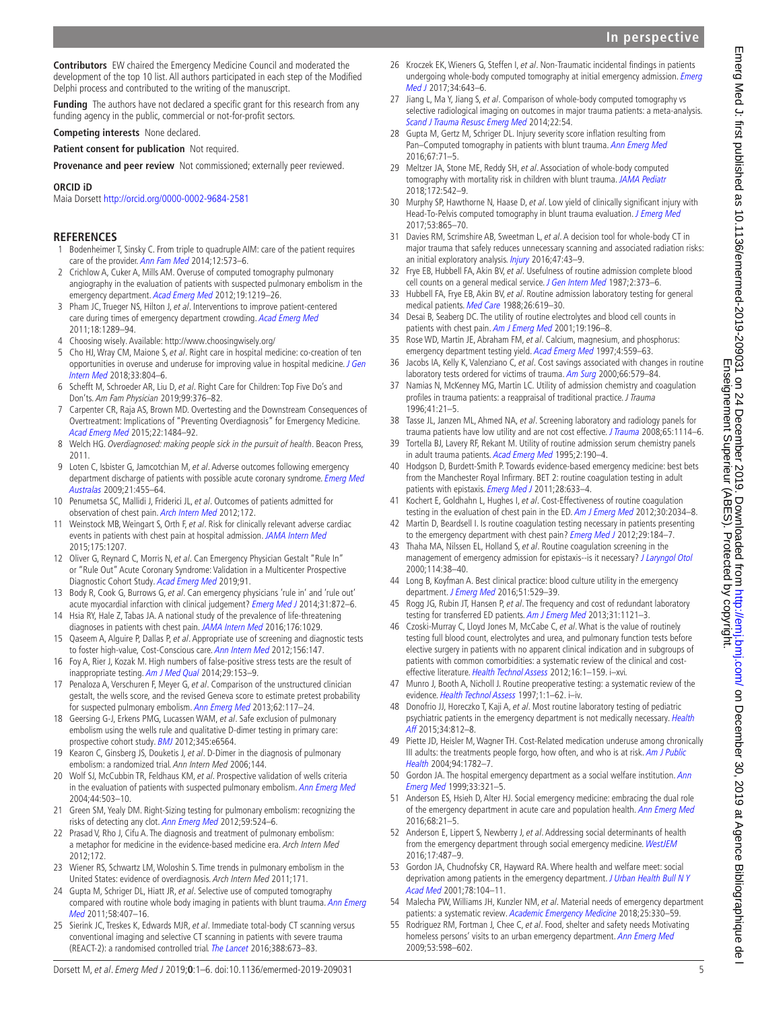**Contributors** EW chaired the Emergency Medicine Council and moderated the development of the top 10 list. All authors participated in each step of the Modified Delphi process and contributed to the writing of the manuscript.

**Funding** The authors have not declared a specific grant for this research from any funding agency in the public, commercial or not-for-profit sectors.

**Competing interests** None declared.

**Patient consent for publication** Not required.

**Provenance and peer review** Not commissioned; externally peer reviewed.

#### **ORCID iD**

Maia Dorsett <http://orcid.org/0000-0002-9684-2581>

### **References**

- <span id="page-4-0"></span>1 Bodenheimer T, Sinsky C. From triple to quadruple AIM: care of the patient requires care of the provider. [Ann Fam Med](http://dx.doi.org/10.1370/afm.1713) 2014;12:573–6.
- 2 Crichlow A, Cuker A, Mills AM. Overuse of computed tomography pulmonary angiography in the evaluation of patients with suspected pulmonary embolism in the emergency department. [Acad Emerg Med](http://dx.doi.org/10.1111/acem.12012) 2012;19:1219–26.
- 3 Pham JC, Trueger NS, Hilton J, et al. Interventions to improve patient-centered care during times of emergency department crowding. [Acad Emerg Med](http://dx.doi.org/10.1111/j.1553-2712.2011.01224.x) 2011;18:1289–94.
- <span id="page-4-1"></span>4 Choosing wisely. Available: <http://www.choosingwisely.org/>
- <span id="page-4-2"></span>5 Cho HJ, Wray CM, Maione S, et al. Right care in hospital medicine: co-creation of ten opportunities in overuse and underuse for improving value in hospital medicine. *J Gen* [Intern Med](http://dx.doi.org/10.1007/s11606-018-4371-4) 2018;33:804–6.
- 6 Schefft M, Schroeder AR, Liu D, et al. Right Care for Children: Top Five Do's and Don'ts. Am Fam Physician 2019;99:376–82.
- <span id="page-4-3"></span>7 Carpenter CR, Raja AS, Brown MD. Overtesting and the Downstream Consequences of Overtreatment: Implications of "Preventing Overdiagnosis" for Emergency Medicine. [Acad Emerg Med](http://dx.doi.org/10.1111/acem.12820) 2015;22:1484–92.
- <span id="page-4-4"></span>8 Welch HG. Overdiagnosed: making people sick in the pursuit of health. Beacon Press, 2011.
- <span id="page-4-5"></span>9 Loten C, Isbister G, Jamcotchian M, et al. Adverse outcomes following emergency department discharge of patients with possible acute coronary syndrome. Emerg Med [Australas](http://dx.doi.org/10.1111/j.1742-6723.2009.01229.x) 2009;21:455–64.
- 10 Penumetsa SC, Mallidi J, Friderici JL, et al. Outcomes of patients admitted for observation of chest pain. [Arch Intern Med](http://dx.doi.org/10.1001/archinternmed.2012.940) 2012;172.
- 11 Weinstock MB, Weingart S, Orth F, et al. Risk for clinically relevant adverse cardiac events in patients with chest pain at hospital admission. [JAMA Intern Med](http://dx.doi.org/10.1001/jamainternmed.2015.1674) 2015;175:1207.
- <span id="page-4-6"></span>12 Oliver G, Reynard C, Morris N, et al. Can Emergency Physician Gestalt "Rule In" or "Rule Out" Acute Coronary Syndrome: Validation in a Multicenter Prospective Diagnostic Cohort Study. [Acad Emerg Med](http://dx.doi.org/10.1111/acem.13836) 2019;91.
- 13 Body R, Cook G, Burrows G, et al. Can emergency physicians 'rule in' and 'rule out' acute myocardial infarction with clinical judgement? [Emerg Med J](http://dx.doi.org/10.1136/emermed-2014-203832) 2014;31:872-6.
- <span id="page-4-7"></span>14 Hsia RY, Hale Z, Tabas JA. A national study of the prevalence of life-threatening diagnoses in patients with chest pain. [JAMA Intern Med](http://dx.doi.org/10.1001/jamainternmed.2016.2498) 2016;176:1029.
- <span id="page-4-8"></span>15 Qaseem A, Alguire P, Dallas P, et al. Appropriate use of screening and diagnostic tests to foster high-value, Cost-Conscious care. [Ann Intern Med](http://dx.doi.org/10.7326/0003-4819-156-2-201201170-00011) 2012;156:147.
- 16 Foy A, Rier J, Kozak M. High numbers of false-positive stress tests are the result of inappropriate testing. [Am J Med Qual](http://dx.doi.org/10.1177/1062860613489726) 2014;29:153-9.
- <span id="page-4-9"></span>17 Penaloza A, Verschuren F, Meyer G, et al. Comparison of the unstructured clinician gestalt, the wells score, and the revised Geneva score to estimate pretest probability for suspected pulmonary embolism. [Ann Emerg Med](http://dx.doi.org/10.1016/j.annemergmed.2012.11.002) 2013;62:117–24.
- <span id="page-4-10"></span>18 Geersing G-J, Erkens PMG, Lucassen WAM, et al. Safe exclusion of pulmonary embolism using the wells rule and qualitative D-dimer testing in primary care: prospective cohort study. [BMJ](http://dx.doi.org/10.1136/bmj.e6564) 2012;345:e6564.
- 19 Kearon C, Ginsberg JS, Douketis J, et al. D-Dimer in the diagnosis of pulmonary embolism: a randomized trial. Ann Intern Med 2006;144.
- 20 Wolf SJ, McCubbin TR, Feldhaus KM, et al. Prospective validation of wells criteria in the evaluation of patients with suspected pulmonary embolism. [Ann Emerg Med](http://dx.doi.org/10.1016/j.annemergmed.2004.04.002) 2004;44:503–10.
- <span id="page-4-11"></span>21 Green SM, Yealy DM. Right-Sizing testing for pulmonary embolism: recognizing the risks of detecting any clot. [Ann Emerg Med](http://dx.doi.org/10.1016/j.annemergmed.2011.12.014) 2012;59:524-6.
- 22 Prasad V, Rho J, Cifu A. The diagnosis and treatment of pulmonary embolism: a metaphor for medicine in the evidence-based medicine era. Arch Intern Med 2012;172.
- <span id="page-4-12"></span>23 Wiener RS, Schwartz LM, Woloshin S. Time trends in pulmonary embolism in the United States: evidence of overdiagnosis. Arch Intern Med 2011;171.
- <span id="page-4-13"></span>24 Gupta M, Schriger DL, Hiatt JR, et al. Selective use of computed tomography compared with routine whole body imaging in patients with blunt trauma. Ann Emerg [Med](http://dx.doi.org/10.1016/j.annemergmed.2011.06.003) 2011;58:407–16.
- 25 Sierink JC, Treskes K, Edwards MJR, et al. Immediate total-body CT scanning versus conventional imaging and selective CT scanning in patients with severe trauma (REACT-2): a randomised controlled trial. [The Lancet](http://dx.doi.org/10.1016/S0140-6736(16)30932-1) 2016;388:673–83.
- 26 Kroczek EK, Wieners G, Steffen I, et al. Non-Traumatic incidental findings in patients undergoing whole-body computed tomography at initial emergency admission. Emerg [Med J](http://dx.doi.org/10.1136/emermed-2016-205722) 2017;34:643–6.
- <span id="page-4-14"></span>27 Jiang L, Ma Y, Jiang S, et al. Comparison of whole-body computed tomography vs selective radiological imaging on outcomes in major trauma patients: a meta-analysis. [Scand J Trauma Resusc Emerg Med](http://dx.doi.org/10.1186/s13049-014-0054-2) 2014;22:54.
- <span id="page-4-15"></span>28 Gupta M, Gertz M, Schriger DL. Injury severity score inflation resulting from Pan–Computed tomography in patients with blunt trauma. [Ann Emerg Med](http://dx.doi.org/10.1016/j.annemergmed.2015.03.033) 2016;67:71–5.
- <span id="page-4-16"></span>29 Meltzer JA, Stone ME, Reddy SH, et al. Association of whole-body computed tomography with mortality risk in children with blunt trauma. [JAMA Pediatr](http://dx.doi.org/10.1001/jamapediatrics.2018.0109) 2018;172:542–9.
- <span id="page-4-17"></span>30 Murphy SP, Hawthorne N, Haase D, et al. Low yield of clinically significant injury with Head-To-Pelvis computed tomography in blunt trauma evaluation. [J Emerg Med](http://dx.doi.org/10.1016/j.jemermed.2017.08.036) 2017;53:865–70.
- <span id="page-4-18"></span>31 Davies RM, Scrimshire AB, Sweetman L, et al. A decision tool for whole-body CT in major trauma that safely reduces unnecessary scanning and associated radiation risks: an initial exploratory analysis. [Injury](http://dx.doi.org/10.1016/j.injury.2015.08.036) 2016;47:43-9.
- <span id="page-4-19"></span>32 Frye EB, Hubbell FA, Akin BV, et al. Usefulness of routine admission complete blood cell counts on a general medical service. [J Gen Intern Med](http://dx.doi.org/10.1007/BF02596360) 1987;2:373-6.
- 33 Hubbell FA, Frye EB, Akin BV, et al. Routine admission laboratory testing for general medical patients. [Med Care](http://dx.doi.org/10.1097/00005650-198806000-00010) 1988;26:619–30.
- 34 Desai B, Seaberg DC. The utility of routine electrolytes and blood cell counts in patients with chest pain. [Am J Emerg Med](http://dx.doi.org/10.1053/ajem.2001.21716) 2001;19:196-8.
- 35 Rose WD, Martin JE, Abraham FM, et al. Calcium, magnesium, and phosphorus: emergency department testing yield. [Acad Emerg Med](http://dx.doi.org/10.1111/j.1553-2712.1997.tb03578.x) 1997;4:559-63.
- 36 Jacobs IA, Kelly K, Valenziano C, et al. Cost savings associated with changes in routine laboratory tests ordered for victims of trauma. [Am Surg](http://www.ncbi.nlm.nih.gov/pubmed/10888135) 2000;66:579-84.
- 37 Namias N, McKenney MG, Martin LC. Utility of admission chemistry and coagulation profiles in trauma patients: a reappraisal of traditional practice. *J Trauma* 1996;41:21–5.
- 38 Tasse JL, Janzen ML, Ahmed NA, et al. Screening laboratory and radiology panels for trauma patients have low utility and are not cost effective. [J Trauma](http://dx.doi.org/10.1097/TA.0b013e318184b4f2) 2008;65:1114-6.
- 39 Tortella BJ, Lavery RF, Rekant M. Utility of routine admission serum chemistry panels in adult trauma patients. [Acad Emerg Med](http://dx.doi.org/10.1111/j.1553-2712.1995.tb03194.x) 1995;2:190–4.
- 40 Hodgson D, Burdett-Smith P. Towards evidence-based emergency medicine: best bets from the Manchester Royal Infirmary. BET 2: routine coagulation testing in adult patients with epistaxis. *[Emerg Med J](http://dx.doi.org/10.1136/emj.2011.114900)* 2011;28:633-4.
- 41 Kochert E, Goldhahn L, Hughes I, et al. Cost-Effectiveness of routine coagulation testing in the evaluation of chest pain in the ED. [Am J Emerg Med](http://dx.doi.org/10.1016/j.ajem.2012.04.012) 2012;30:2034-8.
- 42 Martin D, Beardsell I. Is routine coagulation testing necessary in patients presenting to the emergency department with chest pain? [Emerg Med J](http://dx.doi.org/10.1136/emj.2010.106526) 2012;29:184-7.
- 43 Thaha MA, Nilssen EL, Holland S, et al. Routine coagulation screening in the management of emergency admission for epistaxis--is it necessary? [J Laryngol Otol](http://dx.doi.org/10.1258/0022215001903861) 2000;114:38–40.
- 44 Long B, Koyfman A. Best clinical practice: blood culture utility in the emergency department. [J Emerg Med](http://dx.doi.org/10.1016/j.jemermed.2016.07.003) 2016;51:529-39.
- 45 Rogg JG, Rubin JT, Hansen P, et al. The frequency and cost of redundant laboratory testing for transferred ED patients. [Am J Emerg Med](http://dx.doi.org/10.1016/j.ajem.2013.03.037) 2013;31:1121-3.
- 46 Czoski-Murray C, Lloyd Jones M, McCabe C, et al. What is the value of routinely testing full blood count, electrolytes and urea, and pulmonary function tests before elective surgery in patients with no apparent clinical indication and in subgroups of patients with common comorbidities: a systematic review of the clinical and cost-effective literature. [Health Technol Assess](http://dx.doi.org/10.3310/hta16500) 2012;16:1–159. i–xvi.
- 47 Munro J, Booth A, Nicholl J. Routine preoperative testing: a systematic review of the evidence. [Health Technol Assess](http://dx.doi.org/10.3310/hta1120) 1997;1:1-62. i-iv.
- 48 Donofrio JJ, Horeczko T, Kaji A, et al. Most routine laboratory testing of pediatric psychiatric patients in the emergency department is not medically necessary. Health [Aff](http://dx.doi.org/10.1377/hlthaff.2014.1309) 2015;34:812–8.
- <span id="page-4-20"></span>49 Piette JD, Heisler M, Wagner TH. Cost-Related medication underuse among chronically III adults: the treatments people forgo, how often, and who is at risk. Am J Public [Health](http://dx.doi.org/10.2105/AJPH.94.10.1782) 2004;94:1782–7.
- <span id="page-4-21"></span>50 Gordon JA. The hospital emergency department as a social welfare institution. Ann [Emerg Med](http://dx.doi.org/10.1016/S0196-0644(99)70369-0) 1999;33:321–5.
- 51 Anderson ES, Hsieh D, Alter HJ. Social emergency medicine: embracing the dual role of the emergency department in acute care and population health. [Ann Emerg Med](http://dx.doi.org/10.1016/j.annemergmed.2016.01.005) 2016;68:21–5.
- 52 Anderson E, Lippert S, Newberry J, et al. Addressing social determinants of health from the emergency department through social emergency medicine. [WestJEM](http://dx.doi.org/10.5811/westjem.2016.5.30240) 2016;17:487–9.
- <span id="page-4-22"></span>53 Gordon JA, Chudnofsky CR, Hayward RA. Where health and welfare meet: social deprivation among patients in the emergency department. J Urban Health Bull N Y [Acad Med](http://dx.doi.org/10.1093/jurban/78.1.104) 2001;78:104–11.
- 54 Malecha PW, Williams JH, Kunzler NM, et al. Material needs of emergency department patients: a systematic review. [Academic Emergency Medicine](http://dx.doi.org/10.1111/acem.13370) 2018;25:330-59.
- 55 Rodriguez RM, Fortman J, Chee C, et al. Food, shelter and safety needs Motivating homeless persons' visits to an urban emergency department. [Ann Emerg Med](http://dx.doi.org/10.1016/j.annemergmed.2008.07.046) 2009;53:598–602.